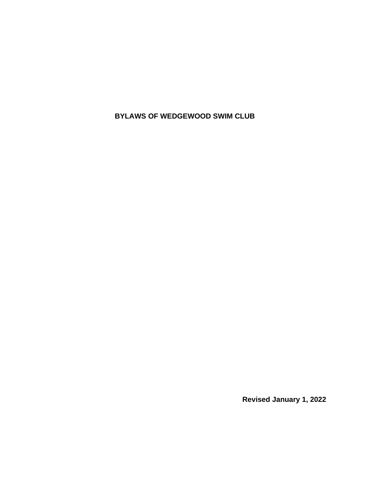**BYLAWS OF WEDGEWOOD SWIM CLUB**

**Revised January 1, 2022**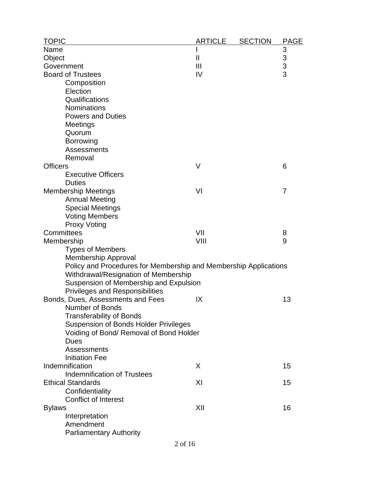| <b>TOPIC</b>                                                     | <b>ARTICLE</b> | <b>SECTION</b> | <b>PAGE</b>                                |
|------------------------------------------------------------------|----------------|----------------|--------------------------------------------|
| Name                                                             |                |                |                                            |
| Object                                                           | $\mathbf{II}$  |                |                                            |
| Government                                                       | Ш              |                | $\begin{array}{c} 3 \\ 3 \\ 3 \end{array}$ |
| <b>Board of Trustees</b>                                         | IV             |                |                                            |
| Composition                                                      |                |                |                                            |
| Election                                                         |                |                |                                            |
| Qualifications                                                   |                |                |                                            |
| Nominations                                                      |                |                |                                            |
| <b>Powers and Duties</b>                                         |                |                |                                            |
| Meetings                                                         |                |                |                                            |
| Quorum                                                           |                |                |                                            |
| <b>Borrowing</b>                                                 |                |                |                                            |
| Assessments                                                      |                |                |                                            |
| Removal                                                          |                |                |                                            |
| <b>Officers</b>                                                  | V              |                | 6                                          |
| <b>Executive Officers</b>                                        |                |                |                                            |
| <b>Duties</b>                                                    |                |                |                                            |
| <b>Membership Meetings</b>                                       | VI             |                | 7                                          |
| <b>Annual Meeting</b>                                            |                |                |                                            |
| <b>Special Meetings</b>                                          |                |                |                                            |
| <b>Voting Members</b>                                            |                |                |                                            |
| <b>Proxy Voting</b>                                              |                |                |                                            |
| Committees                                                       | VII            |                | 8                                          |
| Membership                                                       | VIII           |                | 9                                          |
| <b>Types of Members</b>                                          |                |                |                                            |
| <b>Membership Approval</b>                                       |                |                |                                            |
| Policy and Procedures for Membership and Membership Applications |                |                |                                            |
| Withdrawal/Resignation of Membership                             |                |                |                                            |
| Suspension of Membership and Expulsion                           |                |                |                                            |
| <b>Privileges and Responsibilities</b>                           |                |                |                                            |
| Bonds, Dues, Assessments and Fees                                | IX             |                | 13                                         |
| Number of Bonds                                                  |                |                |                                            |
| <b>Transferability of Bonds</b>                                  |                |                |                                            |
| <b>Suspension of Bonds Holder Privileges</b>                     |                |                |                                            |
| Voiding of Bond/ Removal of Bond Holder<br><b>Dues</b>           |                |                |                                            |
| <b>Assessments</b>                                               |                |                |                                            |
| <b>Initiation Fee</b>                                            |                |                |                                            |
| Indemnification                                                  | X              |                | 15                                         |
| <b>Indemnification of Trustees</b>                               |                |                |                                            |
| <b>Ethical Standards</b>                                         | XI             |                | 15                                         |
| Confidentiality                                                  |                |                |                                            |
| <b>Conflict of Interest</b>                                      |                |                |                                            |
| <b>Bylaws</b>                                                    | XII            |                | 16                                         |
| Interpretation                                                   |                |                |                                            |
| Amendment                                                        |                |                |                                            |
| <b>Parliamentary Authority</b>                                   |                |                |                                            |
|                                                                  |                |                |                                            |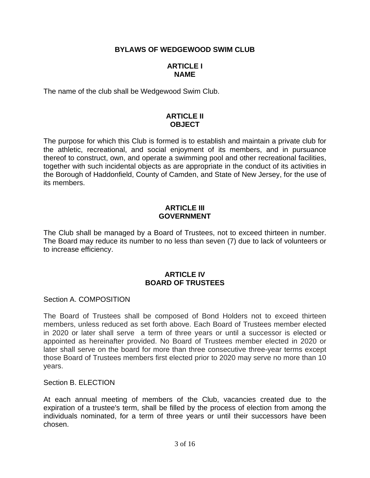# **BYLAWS OF WEDGEWOOD SWIM CLUB**

### **ARTICLE I NAME**

The name of the club shall be Wedgewood Swim Club.

# **ARTICLE II OBJECT**

The purpose for which this Club is formed is to establish and maintain a private club for the athletic, recreational, and social enjoyment of its members, and in pursuance thereof to construct, own, and operate a swimming pool and other recreational facilities, together with such incidental objects as are appropriate in the conduct of its activities in the Borough of Haddonfield, County of Camden, and State of New Jersey, for the use of its members.

#### **ARTICLE III GOVERNMENT**

The Club shall be managed by a Board of Trustees, not to exceed thirteen in number. The Board may reduce its number to no less than seven (7) due to lack of volunteers or to increase efficiency.

### **ARTICLE IV BOARD OF TRUSTEES**

Section A. COMPOSITION

The Board of Trustees shall be composed of Bond Holders not to exceed thirteen members, unless reduced as set forth above. Each Board of Trustees member elected in 2020 or later shall serve a term of three years or until a successor is elected or appointed as hereinafter provided. No Board of Trustees member elected in 2020 or later shall serve on the board for more than three consecutive three-year terms except those Board of Trustees members first elected prior to 2020 may serve no more than 10 years.

Section B. ELECTION

At each annual meeting of members of the Club, vacancies created due to the expiration of a trustee's term, shall be filled by the process of election from among the individuals nominated, for a term of three years or until their successors have been chosen.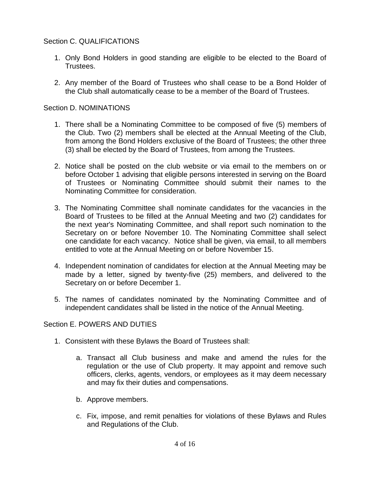# Section C. QUALIFICATIONS

- 1. Only Bond Holders in good standing are eligible to be elected to the Board of Trustees.
- 2. Any member of the Board of Trustees who shall cease to be a Bond Holder of the Club shall automatically cease to be a member of the Board of Trustees.

# Section D. NOMINATIONS

- 1. There shall be a Nominating Committee to be composed of five (5) members of the Club. Two (2) members shall be elected at the Annual Meeting of the Club, from among the Bond Holders exclusive of the Board of Trustees; the other three (3) shall be elected by the Board of Trustees, from among the Trustees.
- 2. Notice shall be posted on the club website or via email to the members on or before October 1 advising that eligible persons interested in serving on the Board of Trustees or Nominating Committee should submit their names to the Nominating Committee for consideration.
- 3. The Nominating Committee shall nominate candidates for the vacancies in the Board of Trustees to be filled at the Annual Meeting and two (2) candidates for the next year's Nominating Committee, and shall report such nomination to the Secretary on or before November 10. The Nominating Committee shall select one candidate for each vacancy. Notice shall be given, via email, to all members entitled to vote at the Annual Meeting on or before November 15.
- 4. Independent nomination of candidates for election at the Annual Meeting may be made by a letter, signed by twenty-five (25) members, and delivered to the Secretary on or before December 1.
- 5. The names of candidates nominated by the Nominating Committee and of independent candidates shall be listed in the notice of the Annual Meeting.

### Section E. POWERS AND DUTIES

- 1. Consistent with these Bylaws the Board of Trustees shall:
	- a. Transact all Club business and make and amend the rules for the regulation or the use of Club property. It may appoint and remove such officers, clerks, agents, vendors, or employees as it may deem necessary and may fix their duties and compensations.
	- b. Approve members.
	- c. Fix, impose, and remit penalties for violations of these Bylaws and Rules and Regulations of the Club.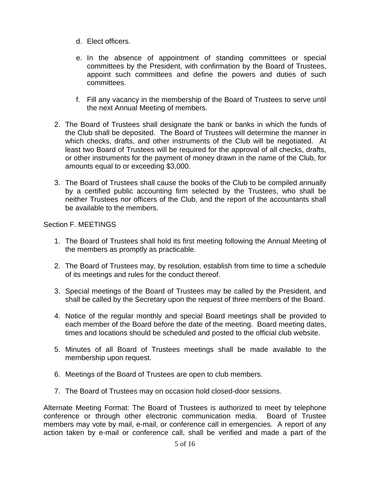- d. Elect officers.
- e. In the absence of appointment of standing committees or special committees by the President, with confirmation by the Board of Trustees, appoint such committees and define the powers and duties of such committees.
- f. Fill any vacancy in the membership of the Board of Trustees to serve until the next Annual Meeting of members.
- 2. The Board of Trustees shall designate the bank or banks in which the funds of the Club shall be deposited. The Board of Trustees will determine the manner in which checks, drafts, and other instruments of the Club will be negotiated. At least two Board of Trustees will be required for the approval of all checks, drafts, or other instruments for the payment of money drawn in the name of the Club, for amounts equal to or exceeding \$3,000.
- 3. The Board of Trustees shall cause the books of the Club to be compiled annually by a certified public accounting firm selected by the Trustees, who shall be neither Trustees nor officers of the Club, and the report of the accountants shall be available to the members.

### Section F. MEETINGS

- 1. The Board of Trustees shall hold its first meeting following the Annual Meeting of the members as promptly as practicable.
- 2. The Board of Trustees may, by resolution, establish from time to time a schedule of its meetings and rules for the conduct thereof.
- 3. Special meetings of the Board of Trustees may be called by the President, and shall be called by the Secretary upon the request of three members of the Board.
- 4. Notice of the regular monthly and special Board meetings shall be provided to each member of the Board before the date of the meeting. Board meeting dates, times and locations should be scheduled and posted to the official club website.
- 5. Minutes of all Board of Trustees meetings shall be made available to the membership upon request.
- 6. Meetings of the Board of Trustees are open to club members.
- 7. The Board of Trustees may on occasion hold closed-door sessions.

Alternate Meeting Format: The Board of Trustees is authorized to meet by telephone conference or through other electronic communication media. Board of Trustee members may vote by mail, e-mail, or conference call in emergencies. A report of any action taken by e-mail or conference call, shall be verified and made a part of the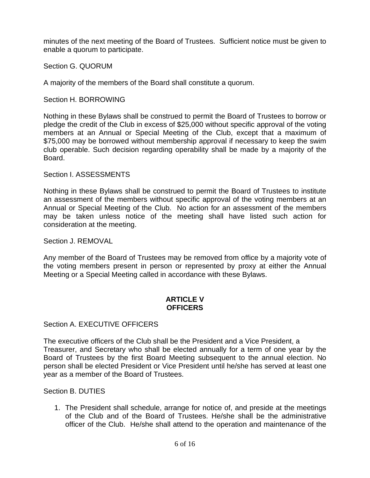minutes of the next meeting of the Board of Trustees. Sufficient notice must be given to enable a quorum to participate.

Section G. QUORUM

A majority of the members of the Board shall constitute a quorum.

Section H. BORROWING

Nothing in these Bylaws shall be construed to permit the Board of Trustees to borrow or pledge the credit of the Club in excess of \$25,000 without specific approval of the voting members at an Annual or Special Meeting of the Club, except that a maximum of \$75,000 may be borrowed without membership approval if necessary to keep the swim club operable. Such decision regarding operability shall be made by a majority of the Board.

### Section I. ASSESSMENTS

Nothing in these Bylaws shall be construed to permit the Board of Trustees to institute an assessment of the members without specific approval of the voting members at an Annual or Special Meeting of the Club. No action for an assessment of the members may be taken unless notice of the meeting shall have listed such action for consideration at the meeting.

Section J. REMOVAL

Any member of the Board of Trustees may be removed from office by a majority vote of the voting members present in person or represented by proxy at either the Annual Meeting or a Special Meeting called in accordance with these Bylaws.

### **ARTICLE V OFFICERS**

Section A. EXECUTIVE OFFICERS

The executive officers of the Club shall be the President and a Vice President, a Treasurer, and Secretary who shall be elected annually for a term of one year by the Board of Trustees by the first Board Meeting subsequent to the annual election. No person shall be elected President or Vice President until he/she has served at least one year as a member of the Board of Trustees.

Section B. DUTIES

1. The President shall schedule, arrange for notice of, and preside at the meetings of the Club and of the Board of Trustees. He/she shall be the administrative officer of the Club. He/she shall attend to the operation and maintenance of the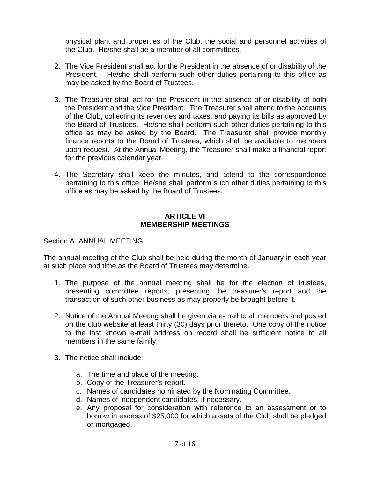physical plant and properties of the Club, the social and personnel activities of the Club. He/she shall be a member of all committees.

- 2. The Vice President shall act for the President in the absence of or disability of the President. He/she shall perform such other duties pertaining to this office as may be asked by the Board of Trustees.
- 3. The Treasurer shall act for the President in the absence of or disability of both the President and the Vice President. The Treasurer shall attend to the accounts of the Club, collecting its revenues and taxes, and paying its bills as approved by the Board of Trustees. He/she shall perform such other duties pertaining to this office as may be asked by the Board. The Treasurer shall provide monthly finance reports to the Board of Trustees, which shall be available to members upon request. At the Annual Meeting, the Treasurer shall make a financial report for the previous calendar year.
- 4. The Secretary shall keep the minutes, and attend to the correspondence pertaining to this office. He/she shall perform such other duties pertaining to this office as may be asked by the Board of Trustees.

## **ARTICLE VI MEMBERSHIP MEETINGS**

### Section A. ANNUAL MEETING

The annual meeting of the Club shall be held during the month of January in each year at such place and time as the Board of Trustees may determine.

- 1. The purpose of the annual meeting shall be for the election of trustees, presenting committee reports, presenting the treasurer's report and the transaction of such other business as may properly be brought before it.
- 2. Notice of the Annual Meeting shall be given via e-mail to all members and posted on the club website at least thirty (30) days prior thereto. One copy of the notice to the last known e-mail address on record shall be sufficient notice to all members in the same family.
- 3. The notice shall include:
	- a. The time and place of the meeting.
	- b. Copy of the Treasurer's report.
	- c. Names of candidates nominated by the Nominating Committee.
	- d. Names of independent candidates, if necessary.
	- e. Any proposal for consideration with reference to an assessment or to borrow in excess of \$25,000 for which assets of the Club shall be pledged or mortgaged.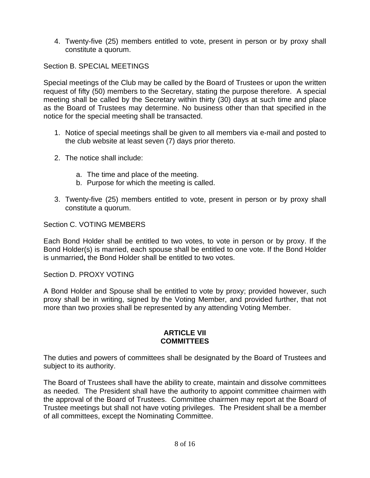4. Twenty-five (25) members entitled to vote, present in person or by proxy shall constitute a quorum.

Section B. SPECIAL MEETINGS

Special meetings of the Club may be called by the Board of Trustees or upon the written request of fifty (50) members to the Secretary, stating the purpose therefore. A special meeting shall be called by the Secretary within thirty (30) days at such time and place as the Board of Trustees may determine. No business other than that specified in the notice for the special meeting shall be transacted.

- 1. Notice of special meetings shall be given to all members via e-mail and posted to the club website at least seven (7) days prior thereto.
- 2. The notice shall include:
	- a. The time and place of the meeting.
	- b. Purpose for which the meeting is called.
- 3. Twenty-five (25) members entitled to vote, present in person or by proxy shall constitute a quorum.

Section C. VOTING MEMBERS

Each Bond Holder shall be entitled to two votes, to vote in person or by proxy. If the Bond Holder(s) is married, each spouse shall be entitled to one vote. If the Bond Holder is unmarried**,** the Bond Holder shall be entitled to two votes.

Section D. PROXY VOTING

A Bond Holder and Spouse shall be entitled to vote by proxy; provided however, such proxy shall be in writing, signed by the Voting Member, and provided further, that not more than two proxies shall be represented by any attending Voting Member.

### **ARTICLE VII COMMITTEES**

The duties and powers of committees shall be designated by the Board of Trustees and subject to its authority.

The Board of Trustees shall have the ability to create, maintain and dissolve committees as needed. The President shall have the authority to appoint committee chairmen with the approval of the Board of Trustees. Committee chairmen may report at the Board of Trustee meetings but shall not have voting privileges. The President shall be a member of all committees, except the Nominating Committee.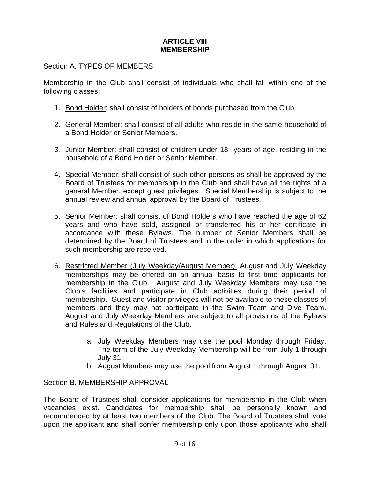## **ARTICLE VIII MEMBERSHIP**

## Section A. TYPES OF MEMBERS

Membership in the Club shall consist of individuals who shall fall within one of the following classes:

- 1. Bond Holder: shall consist of holders of bonds purchased from the Club.
- 2. General Member: shall consist of all adults who reside in the same household of a Bond Holder or Senior Members.
- *3.* Junior Member: shall consist of children under 18 years of age, residing in the household of a Bond Holder or Senior Member.
- 4. Special Member: shall consist of such other persons as shall be approved by the Board of Trustees for membership in the Club and shall have all the rights of a general Member, except guest privileges. Special Membership is subject to the annual review and annual approval by the Board of Trustees.
- 5. Senior Member: shall consist of Bond Holders who have reached the age of 62 years and who have sold, assigned or transferred his or her certificate in accordance with these Bylaws. The number of Senior Members shall be determined by the Board of Trustees and in the order in which applications for such membership are received.
- 6. Restricted Member (July Weekday/August Member): August and July Weekday memberships may be offered on an annual basis to first time applicants for membership in the Club. August and July Weekday Members may use the Club's facilities and participate in Club activities during their period of membership. Guest and visitor privileges will not be available to these classes of members and they may not participate in the Swim Team and Dive Team. August and July Weekday Members are subject to all provisions of the Bylaws and Rules and Regulations of the Club.
	- a. July Weekday Members may use the pool Monday through Friday. The term of the July Weekday Membership will be from July 1 through July 31.
	- b. August Members may use the pool from August 1 through August 31.

Section B. MEMBERSHIP APPROVAL

The Board of Trustees shall consider applications for membership in the Club when vacancies exist. Candidates for membership shall be personally known and recommended by at least two members of the Club. The Board of Trustees shall vote upon the applicant and shall confer membership only upon those applicants who shall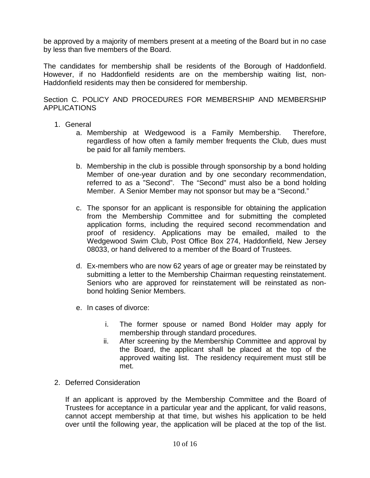be approved by a majority of members present at a meeting of the Board but in no case by less than five members of the Board.

The candidates for membership shall be residents of the Borough of Haddonfield. However, if no Haddonfield residents are on the membership waiting list, non-Haddonfield residents may then be considered for membership.

Section C. POLICY AND PROCEDURES FOR MEMBERSHIP AND MEMBERSHIP APPLICATIONS

- 1. General
	- a. Membership at Wedgewood is a Family Membership. Therefore, regardless of how often a family member frequents the Club, dues must be paid for all family members.
	- b. Membership in the club is possible through sponsorship by a bond holding Member of one-year duration and by one secondary recommendation, referred to as a "Second". The "Second" must also be a bond holding Member. A Senior Member may not sponsor but may be a "Second."
	- c. The sponsor for an applicant is responsible for obtaining the application from the Membership Committee and for submitting the completed application forms, including the required second recommendation and proof of residency. Applications may be emailed, mailed to the Wedgewood Swim Club, Post Office Box 274, Haddonfield, New Jersey 08033, or hand delivered to a member of the Board of Trustees.
	- d. Ex-members who are now 62 years of age or greater may be reinstated by submitting a letter to the Membership Chairman requesting reinstatement. Seniors who are approved for reinstatement will be reinstated as nonbond holding Senior Members.
	- e. In cases of divorce:
		- i. The former spouse or named Bond Holder may apply for membership through standard procedures.
		- ii. After screening by the Membership Committee and approval by the Board, the applicant shall be placed at the top of the approved waiting list. The residency requirement must still be met.

### 2. Deferred Consideration

If an applicant is approved by the Membership Committee and the Board of Trustees for acceptance in a particular year and the applicant, for valid reasons, cannot accept membership at that time, but wishes his application to be held over until the following year, the application will be placed at the top of the list.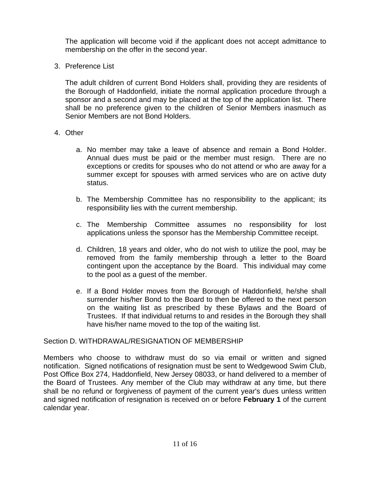The application will become void if the applicant does not accept admittance to membership on the offer in the second year.

3. Preference List

The adult children of current Bond Holders shall, providing they are residents of the Borough of Haddonfield, initiate the normal application procedure through a sponsor and a second and may be placed at the top of the application list. There shall be no preference given to the children of Senior Members inasmuch as Senior Members are not Bond Holders.

- 4. Other
	- a. No member may take a leave of absence and remain a Bond Holder. Annual dues must be paid or the member must resign. There are no exceptions or credits for spouses who do not attend or who are away for a summer except for spouses with armed services who are on active duty status.
	- b. The Membership Committee has no responsibility to the applicant; its responsibility lies with the current membership.
	- c. The Membership Committee assumes no responsibility for lost applications unless the sponsor has the Membership Committee receipt.
	- d. Children, 18 years and older, who do not wish to utilize the pool, may be removed from the family membership through a letter to the Board contingent upon the acceptance by the Board. This individual may come to the pool as a guest of the member.
	- e. If a Bond Holder moves from the Borough of Haddonfield, he/she shall surrender his/her Bond to the Board to then be offered to the next person on the waiting list as prescribed by these Bylaws and the Board of Trustees. If that individual returns to and resides in the Borough they shall have his/her name moved to the top of the waiting list.

# Section D. WITHDRAWAL/RESIGNATION OF MEMBERSHIP

Members who choose to withdraw must do so via email or written and signed notification. Signed notifications of resignation must be sent to Wedgewood Swim Club, Post Office Box 274, Haddonfield, New Jersey 08033, or hand delivered to a member of the Board of Trustees. Any member of the Club may withdraw at any time, but there shall be no refund or forgiveness of payment of the current year's dues unless written and signed notification of resignation is received on or before **February 1** of the current calendar year.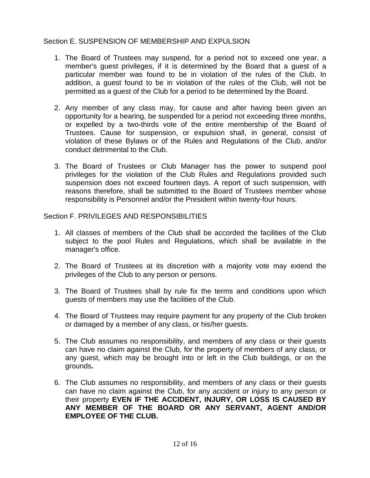# Section E. SUSPENSION OF MEMBERSHIP AND EXPULSION

- 1. The Board of Trustees may suspend, for a period not to exceed one year, a member's guest privileges, if it is determined by the Board that a guest of a particular member was found to be in violation of the rules of the Club. In addition, a guest found to be in violation of the rules of the Club, will not be permitted as a guest of the Club for a period to be determined by the Board.
- 2. Any member of any class may, for cause and after having been given an opportunity for a hearing, be suspended for a period not exceeding three months, or expelled by a two-thirds vote of the entire membership of the Board of Trustees. Cause for suspension, or expulsion shall, in general, consist of violation of these Bylaws or of the Rules and Regulations of the Club, and/or conduct detrimental to the Club.
- 3. The Board of Trustees or Club Manager has the power to suspend pool privileges for the violation of the Club Rules and Regulations provided such suspension does not exceed fourteen days. A report of such suspension, with reasons therefore, shall be submitted to the Board of Trustees member whose responsibility is Personnel and/or the President within twenty-four hours.

Section F. PRIVILEGES AND RESPONSIBILITIES

- 1. All classes of members of the Club shall be accorded the facilities of the Club subject to the pool Rules and Regulations, which shall be available in the manager's office.
- 2. The Board of Trustees at its discretion with a majority vote may extend the privileges of the Club to any person or persons.
- 3. The Board of Trustees shall by rule fix the terms and conditions upon which guests of members may use the facilities of the Club.
- 4. The Board of Trustees may require payment for any property of the Club broken or damaged by a member of any class, or his/her guests.
- 5. The Club assumes no responsibility, and members of any class or their guests can have no claim against the Club, for the property of members of any class, or any guest, which may be brought into or left in the Club buildings, or on the grounds**.**
- 6. The Club assumes no responsibility, and members of any class or their guests can have no claim against the Club, for any accident or injury to any person or their property **EVEN IF THE ACCIDENT, INJURY, OR LOSS IS CAUSED BY ANY MEMBER OF THE BOARD OR ANY SERVANT, AGENT AND/OR EMPLOYEE OF THE CLUB.**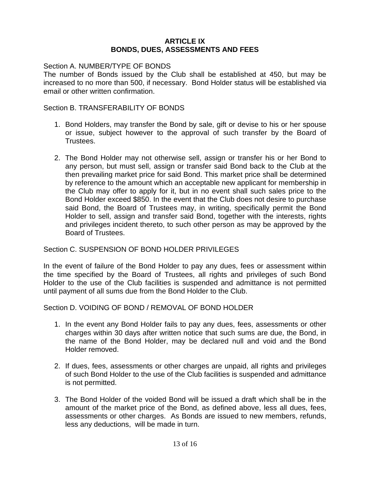#### **ARTICLE IX BONDS, DUES, ASSESSMENTS AND FEES**

#### Section A. NUMBER/TYPE OF BONDS

The number of Bonds issued by the Club shall be established at 450, but may be increased to no more than 500, if necessary. Bond Holder status will be established via email or other written confirmation.

#### Section B. TRANSFERABILITY OF BONDS

- 1. Bond Holders, may transfer the Bond by sale, gift or devise to his or her spouse or issue, subject however to the approval of such transfer by the Board of Trustees.
- 2. The Bond Holder may not otherwise sell, assign or transfer his or her Bond to any person, but must sell, assign or transfer said Bond back to the Club at the then prevailing market price for said Bond. This market price shall be determined by reference to the amount which an acceptable new applicant for membership in the Club may offer to apply for it, but in no event shall such sales price to the Bond Holder exceed \$850. In the event that the Club does not desire to purchase said Bond, the Board of Trustees may, in writing, specifically permit the Bond Holder to sell, assign and transfer said Bond, together with the interests, rights and privileges incident thereto, to such other person as may be approved by the Board of Trustees.

### Section C. SUSPENSION OF BOND HOLDER PRIVILEGES

In the event of failure of the Bond Holder to pay any dues, fees or assessment within the time specified by the Board of Trustees, all rights and privileges of such Bond Holder to the use of the Club facilities is suspended and admittance is not permitted until payment of all sums due from the Bond Holder to the Club.

Section D. VOIDING OF BOND / REMOVAL OF BOND HOLDER

- 1. In the event any Bond Holder fails to pay any dues, fees, assessments or other charges within 30 days after written notice that such sums are due, the Bond, in the name of the Bond Holder, may be declared null and void and the Bond Holder removed.
- 2. If dues, fees, assessments or other charges are unpaid, all rights and privileges of such Bond Holder to the use of the Club facilities is suspended and admittance is not permitted.
- 3. The Bond Holder of the voided Bond will be issued a draft which shall be in the amount of the market price of the Bond, as defined above, less all dues, fees, assessments or other charges. As Bonds are issued to new members, refunds, less any deductions, will be made in turn.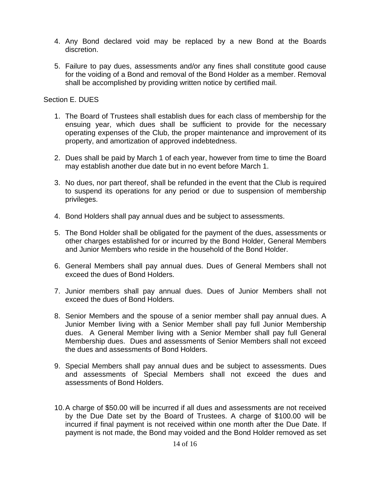- 4. Any Bond declared void may be replaced by a new Bond at the Boards discretion.
- 5. Failure to pay dues, assessments and/or any fines shall constitute good cause for the voiding of a Bond and removal of the Bond Holder as a member. Removal shall be accomplished by providing written notice by certified mail.

### Section E. DUES

- 1. The Board of Trustees shall establish dues for each class of membership for the ensuing year, which dues shall be sufficient to provide for the necessary operating expenses of the Club, the proper maintenance and improvement of its property, and amortization of approved indebtedness.
- 2. Dues shall be paid by March 1 of each year, however from time to time the Board may establish another due date but in no event before March 1.
- 3. No dues, nor part thereof, shall be refunded in the event that the Club is required to suspend its operations for any period or due to suspension of membership privileges.
- 4. Bond Holders shall pay annual dues and be subject to assessments.
- 5. The Bond Holder shall be obligated for the payment of the dues, assessments or other charges established for or incurred by the Bond Holder, General Members and Junior Members who reside in the household of the Bond Holder.
- 6. General Members shall pay annual dues. Dues of General Members shall not exceed the dues of Bond Holders.
- 7. Junior members shall pay annual dues. Dues of Junior Members shall not exceed the dues of Bond Holders.
- 8. Senior Members and the spouse of a senior member shall pay annual dues. A Junior Member living with a Senior Member shall pay full Junior Membership dues. A General Member living with a Senior Member shall pay full General Membership dues. Dues and assessments of Senior Members shall not exceed the dues and assessments of Bond Holders.
- 9. Special Members shall pay annual dues and be subject to assessments. Dues and assessments of Special Members shall not exceed the dues and assessments of Bond Holders.
- 10. A charge of \$50.00 will be incurred if all dues and assessments are not received by the Due Date set by the Board of Trustees. A charge of \$100.00 will be incurred if final payment is not received within one month after the Due Date. If payment is not made, the Bond may voided and the Bond Holder removed as set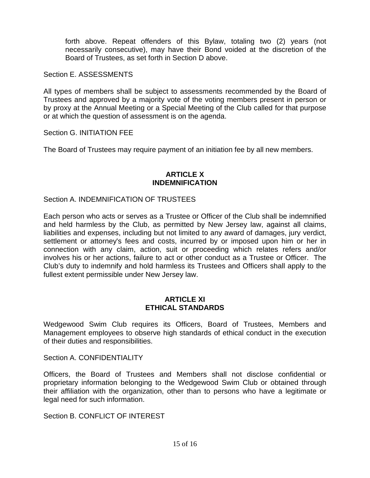forth above. Repeat offenders of this Bylaw, totaling two (2) years (not necessarily consecutive), may have their Bond voided at the discretion of the Board of Trustees, as set forth in Section D above.

Section E. ASSESSMENTS

All types of members shall be subject to assessments recommended by the Board of Trustees and approved by a majority vote of the voting members present in person or by proxy at the Annual Meeting or a Special Meeting of the Club called for that purpose or at which the question of assessment is on the agenda.

Section G. INITIATION FEE

The Board of Trustees may require payment of an initiation fee by all new members.

#### **ARTICLE X INDEMNIFICATION**

Section A. INDEMNIFICATION OF TRUSTEES

Each person who acts or serves as a Trustee or Officer of the Club shall be indemnified and held harmless by the Club, as permitted by New Jersey law, against all claims, liabilities and expenses, including but not limited to any award of damages, jury verdict, settlement or attorney's fees and costs, incurred by or imposed upon him or her in connection with any claim, action, suit or proceeding which relates refers and/or involves his or her actions, failure to act or other conduct as a Trustee or Officer. The Club's duty to indemnify and hold harmless its Trustees and Officers shall apply to the fullest extent permissible under New Jersey law.

### **ARTICLE XI ETHICAL STANDARDS**

Wedgewood Swim Club requires its Officers, Board of Trustees, Members and Management employees to observe high standards of ethical conduct in the execution of their duties and responsibilities.

Section A. CONFIDENTIALITY

Officers, the Board of Trustees and Members shall not disclose confidential or proprietary information belonging to the Wedgewood Swim Club or obtained through their affiliation with the organization, other than to persons who have a legitimate or legal need for such information.

Section B. CONFLICT OF INTEREST